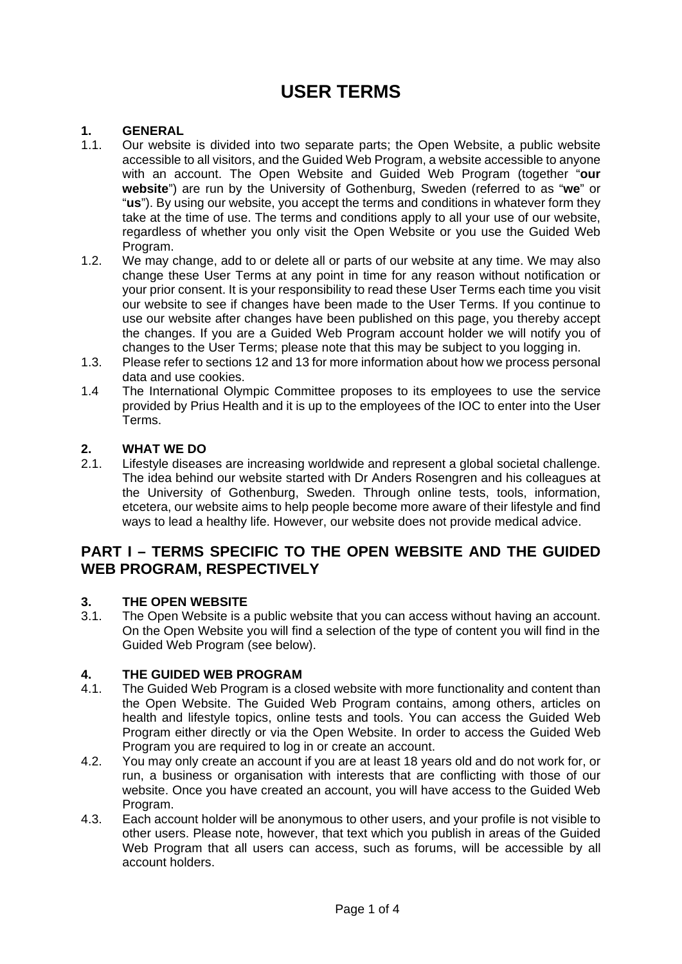# **USER TERMS**

### **1. GENERAL**

- 1.1. Our website is divided into two separate parts; the Open Website, a public website accessible to all visitors, and the Guided Web Program, a website accessible to anyone with an account. The Open Website and Guided Web Program (together "**our website**") are run by the University of Gothenburg, Sweden (referred to as "**we**" or "**us**"). By using our website, you accept the terms and conditions in whatever form they take at the time of use. The terms and conditions apply to all your use of our website, regardless of whether you only visit the Open Website or you use the Guided Web Program.
- 1.2. We may change, add to or delete all or parts of our website at any time. We may also change these User Terms at any point in time for any reason without notification or your prior consent. It is your responsibility to read these User Terms each time you visit our website to see if changes have been made to the User Terms. If you continue to use our website after changes have been published on this page, you thereby accept the changes. If you are a Guided Web Program account holder we will notify you of changes to the User Terms; please note that this may be subject to you logging in.
- 1.3. Please refer to sections 12 and 13 for more information about how we process personal data and use cookies.
- 1.4 The International Olympic Committee proposes to its employees to use the service provided by Prius Health and it is up to the employees of the IOC to enter into the User Terms.

# **2. WHAT WE DO**

Lifestyle diseases are increasing worldwide and represent a global societal challenge. The idea behind our website started with Dr Anders Rosengren and his colleagues at the University of Gothenburg, Sweden. Through online tests, tools, information, etcetera, our website aims to help people become more aware of their lifestyle and find ways to lead a healthy life. However, our website does not provide medical advice.

# **PART I – TERMS SPECIFIC TO THE OPEN WEBSITE AND THE GUIDED WEB PROGRAM, RESPECTIVELY**

#### **3. THE OPEN WEBSITE**

3.1. The Open Website is a public website that you can access without having an account. On the Open Website you will find a selection of the type of content you will find in the Guided Web Program (see below).

#### **4. THE GUIDED WEB PROGRAM**

- 4.1. The Guided Web Program is a closed website with more functionality and content than the Open Website. The Guided Web Program contains, among others, articles on health and lifestyle topics, online tests and tools. You can access the Guided Web Program either directly or via the Open Website. In order to access the Guided Web Program you are required to log in or create an account.
- 4.2. You may only create an account if you are at least 18 years old and do not work for, or run, a business or organisation with interests that are conflicting with those of our website. Once you have created an account, you will have access to the Guided Web Program.
- 4.3. Each account holder will be anonymous to other users, and your profile is not visible to other users. Please note, however, that text which you publish in areas of the Guided Web Program that all users can access, such as forums, will be accessible by all account holders.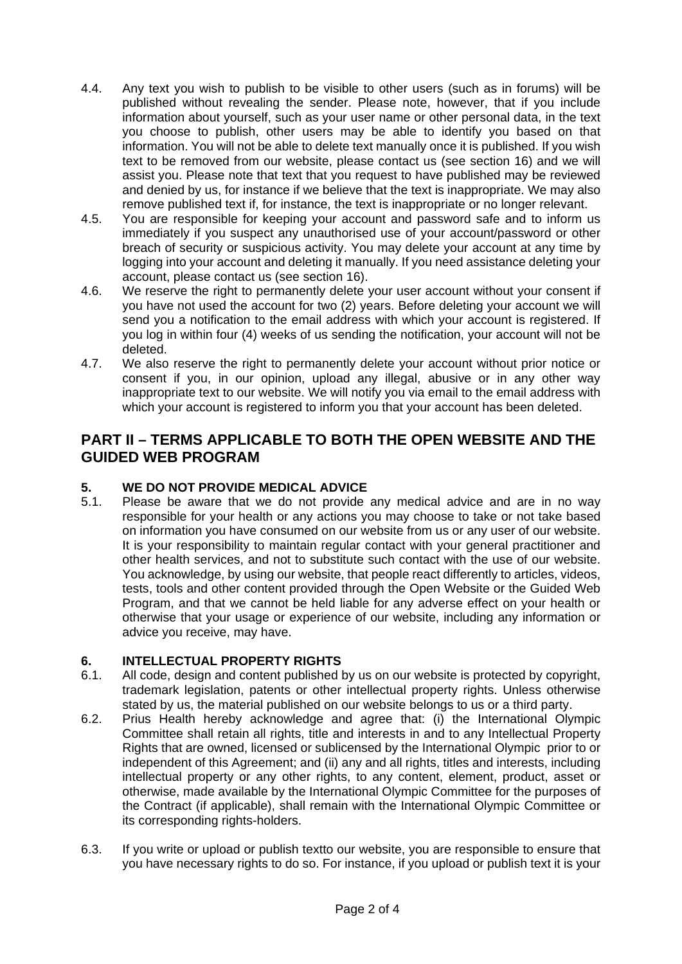- 4.4. Any text you wish to publish to be visible to other users (such as in forums) will be published without revealing the sender. Please note, however, that if you include information about yourself, such as your user name or other personal data, in the text you choose to publish, other users may be able to identify you based on that information. You will not be able to delete text manually once it is published. If you wish text to be removed from our website, please contact us (see section 16) and we will assist you. Please note that text that you request to have published may be reviewed and denied by us, for instance if we believe that the text is inappropriate. We may also remove published text if, for instance, the text is inappropriate or no longer relevant.
- 4.5. You are responsible for keeping your account and password safe and to inform us immediately if you suspect any unauthorised use of your account/password or other breach of security or suspicious activity. You may delete your account at any time by logging into your account and deleting it manually. If you need assistance deleting your account, please contact us (see section 16).
- 4.6. We reserve the right to permanently delete your user account without your consent if you have not used the account for two (2) years. Before deleting your account we will send you a notification to the email address with which your account is registered. If you log in within four (4) weeks of us sending the notification, your account will not be deleted.
- 4.7. We also reserve the right to permanently delete your account without prior notice or consent if you, in our opinion, upload any illegal, abusive or in any other way inappropriate text to our website. We will notify you via email to the email address with which your account is registered to inform you that your account has been deleted.

# **PART II – TERMS APPLICABLE TO BOTH THE OPEN WEBSITE AND THE GUIDED WEB PROGRAM**

# **5. WE DO NOT PROVIDE MEDICAL ADVICE**

5.1. Please be aware that we do not provide any medical advice and are in no way responsible for your health or any actions you may choose to take or not take based on information you have consumed on our website from us or any user of our website. It is your responsibility to maintain regular contact with your general practitioner and other health services, and not to substitute such contact with the use of our website. You acknowledge, by using our website, that people react differently to articles, videos, tests, tools and other content provided through the Open Website or the Guided Web Program, and that we cannot be held liable for any adverse effect on your health or otherwise that your usage or experience of our website, including any information or advice you receive, may have.

# **6. INTELLECTUAL PROPERTY RIGHTS**

- 6.1. All code, design and content published by us on our website is protected by copyright, trademark legislation, patents or other intellectual property rights. Unless otherwise stated by us, the material published on our website belongs to us or a third party.
- 6.2. Prius Health hereby acknowledge and agree that: (i) the International Olympic Committee shall retain all rights, title and interests in and to any Intellectual Property Rights that are owned, licensed or sublicensed by the International Olympic prior to or independent of this Agreement; and (ii) any and all rights, titles and interests, including intellectual property or any other rights, to any content, element, product, asset or otherwise, made available by the International Olympic Committee for the purposes of the Contract (if applicable), shall remain with the International Olympic Committee or its corresponding rights-holders.
- 6.3. If you write or upload or publish textto our website, you are responsible to ensure that you have necessary rights to do so. For instance, if you upload or publish text it is your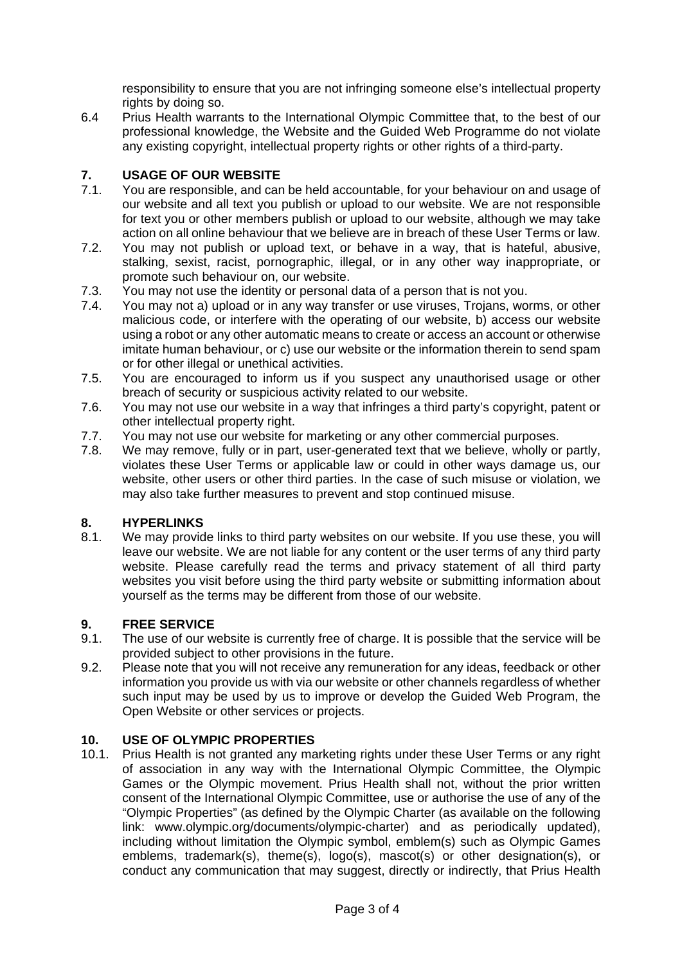responsibility to ensure that you are not infringing someone else's intellectual property rights by doing so.

6.4 Prius Health warrants to the International Olympic Committee that, to the best of our professional knowledge, the Website and the Guided Web Programme do not violate any existing copyright, intellectual property rights or other rights of a third-party.

# **7. USAGE OF OUR WEBSITE**

- 7.1. You are responsible, and can be held accountable, for your behaviour on and usage of our website and all text you publish or upload to our website. We are not responsible for text you or other members publish or upload to our website, although we may take action on all online behaviour that we believe are in breach of these User Terms or law.
- 7.2. You may not publish or upload text, or behave in a way, that is hateful, abusive, stalking, sexist, racist, pornographic, illegal, or in any other way inappropriate, or promote such behaviour on, our website.
- 7.3. You may not use the identity or personal data of a person that is not you.
- 7.4. You may not a) upload or in any way transfer or use viruses, Trojans, worms, or other malicious code, or interfere with the operating of our website, b) access our website using a robot or any other automatic means to create or access an account or otherwise imitate human behaviour, or c) use our website or the information therein to send spam or for other illegal or unethical activities.
- 7.5. You are encouraged to inform us if you suspect any unauthorised usage or other breach of security or suspicious activity related to our website.
- 7.6. You may not use our website in a way that infringes a third party's copyright, patent or other intellectual property right.
- 7.7. You may not use our website for marketing or any other commercial purposes.
- 7.8. We may remove, fully or in part, user-generated text that we believe, wholly or partly, violates these User Terms or applicable law or could in other ways damage us, our website, other users or other third parties. In the case of such misuse or violation, we may also take further measures to prevent and stop continued misuse.

# **8. HYPERLINKS**

8.1. We may provide links to third party websites on our website. If you use these, you will leave our website. We are not liable for any content or the user terms of any third party website. Please carefully read the terms and privacy statement of all third party websites you visit before using the third party website or submitting information about yourself as the terms may be different from those of our website.

# **9. FREE SERVICE**

- 9.1. The use of our website is currently free of charge. It is possible that the service will be provided subject to other provisions in the future.
- 9.2. Please note that you will not receive any remuneration for any ideas, feedback or other information you provide us with via our website or other channels regardless of whether such input may be used by us to improve or develop the Guided Web Program, the Open Website or other services or projects.

# **10. USE OF OLYMPIC PROPERTIES**

10.1. Prius Health is not granted any marketing rights under these User Terms or any right of association in any way with the International Olympic Committee, the Olympic Games or the Olympic movement. Prius Health shall not, without the prior written consent of the International Olympic Committee, use or authorise the use of any of the "Olympic Properties" (as defined by the Olympic Charter (as available on the following link: www.olympic.org/documents/olympic-charter) and as periodically updated), including without limitation the Olympic symbol, emblem(s) such as Olympic Games emblems, trademark(s), theme(s), logo(s), mascot(s) or other designation(s), or conduct any communication that may suggest, directly or indirectly, that Prius Health